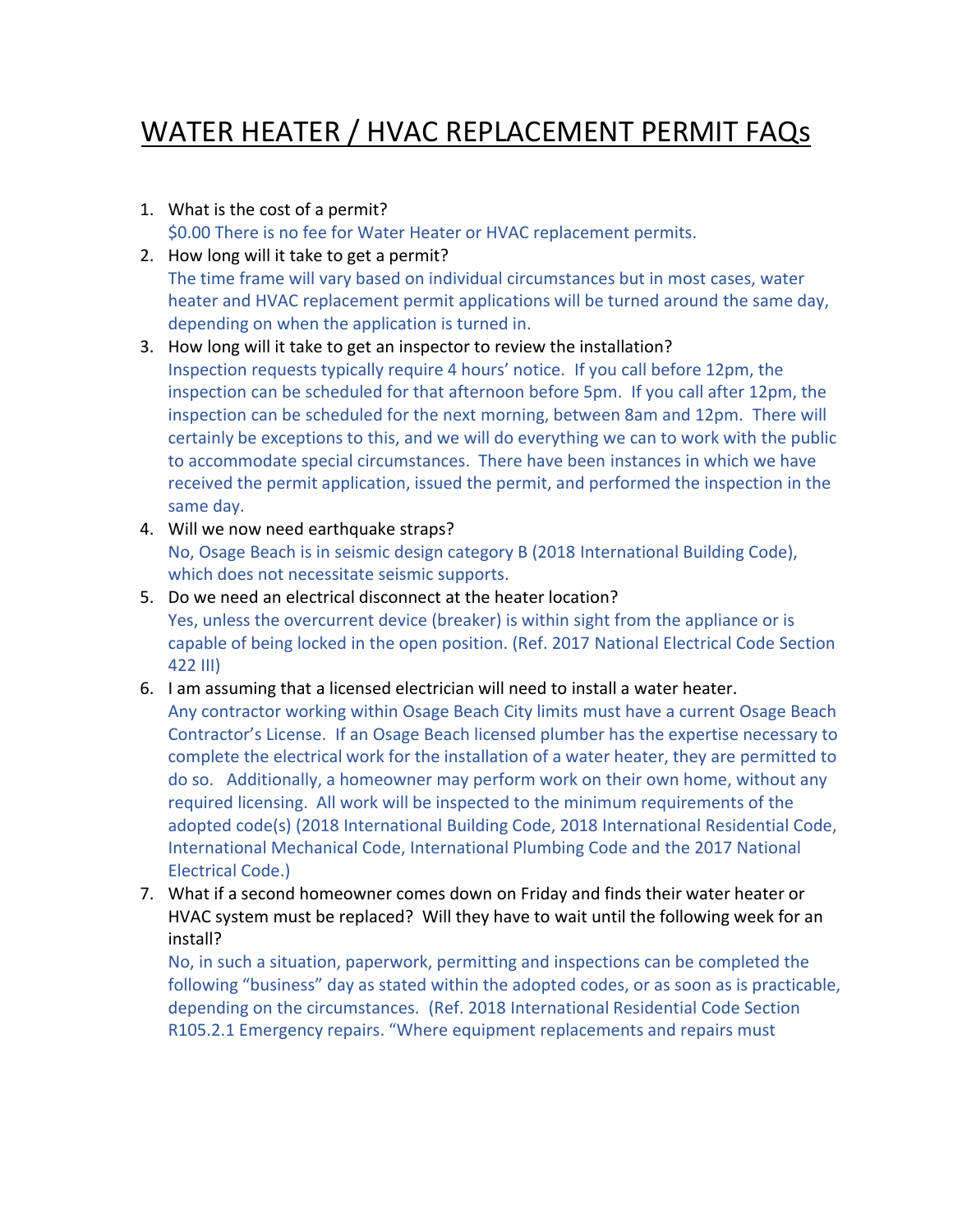## WATER HEATER / HVAC REPLACEMENT PERMIT FAQs

- 1. What is the cost of a permit? \$0.00 There is no fee for Water Heater or HVAC replacement permits.
- 2. How long will it take to get a permit? The time frame will vary based on individual circumstances but in most cases, water heater and HVAC replacement permit applications will be turned around the same day, depending on when the application is turned in.
- 3. How long will it take to get an inspector to review the installation? Inspection requests typically require 4 hours' notice. If you call before 12pm, the inspection can be scheduled for that afternoon before 5pm. If you call after 12pm, the inspection can be scheduled for the next morning, between 8am and 12pm. There will certainly be exceptions to this, and we will do everything we can to work with the public to accommodate special circumstances. There have been instances in which we have received the permit application, issued the permit, and performed the inspection in the same day.
- 4. Will we now need earthquake straps? No, Osage Beach is in seismic design category B (2018 International Building Code), which does not necessitate seismic supports.
- 5. Do we need an electrical disconnect at the heater location? Yes, unless the overcurrent device (breaker) is within sight from the appliance or is capable of being locked in the open position. (Ref. 2017 National Electrical Code Section 422 III)
- 6. I am assuming that a licensed electrician will need to install a water heater.
- Any contractor working within Osage Beach City limits must have a current Osage Beach Contractor's License. If an Osage Beach licensed plumber has the expertise necessary to complete the electrical work for the installation of a water heater, they are permitted to do so. Additionally, a homeowner may perform work on their own home, without any required licensing. All work will be inspected to the minimum requirements of the adopted code(s) (2018 International Building Code, 2018 International Residential Code, International Mechanical Code, International Plumbing Code and the 2017 National Electrical Code.)
- 7. What if a second homeowner comes down on Friday and finds their water heater or HVAC system must be replaced? Will they have to wait until the following week for an install?

No, in such a situation, paperwork, permitting and inspections can be completed the following "business" day as stated within the adopted codes, or as soon as is practicable, depending on the circumstances. (Ref. 2018 International Residential Code Section R105.2.1 Emergency repairs. "Where equipment replacements and repairs must